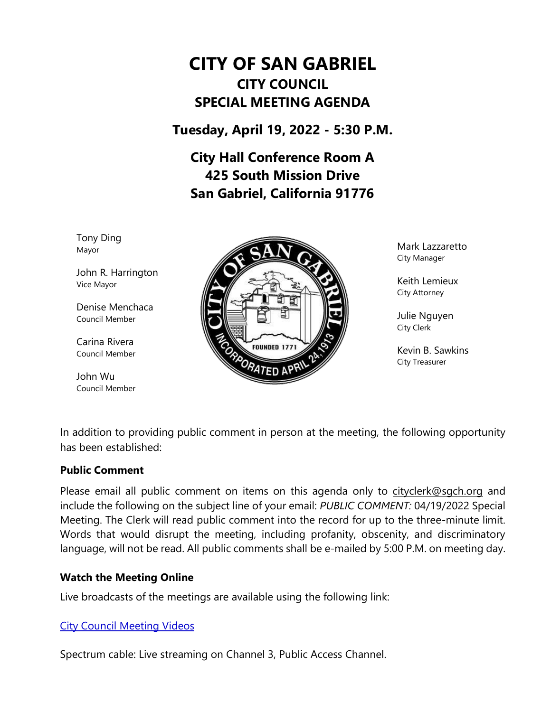# **CITY OF SAN GABRIEL CITY COUNCIL SPECIAL MEETING AGENDA**

**Tuesday, April 19, 2022 - 5:30 P.M.**

**City Hall Conference Room A 425 South Mission Drive San Gabriel, California 91776**

Tony Ding Mayor

John R. Harrington Vice Mayor

Denise Menchaca Council Member

Carina Rivera Council Member

John Wu Council Member



Mark Lazzaretto City Manager

Keith Lemieux City Attorney

Julie Nguyen City Clerk

Kevin B. Sawkins City Treasurer

In addition to providing public comment in person at the meeting, the following opportunity has been established:

#### **Public Comment**

Please email all public comment on items on this agenda only to [cityclerk@sgch.org](mailto:cityclerk@sgch.org) and include the following on the subject line of your email: *PUBLIC COMMENT:* 04/19/2022 Special Meeting. The Clerk will read public comment into the record for up to the three-minute limit. Words that would disrupt the meeting, including profanity, obscenity, and discriminatory language, will not be read. All public comments shall be e-mailed by 5:00 P.M. on meeting day.

#### **Watch the Meeting Online**

Live broadcasts of the meetings are available using the following link:

# [City Council Meeting Videos](https://www.youtube.com/CityofSanGabriel)

Spectrum cable: Live streaming on Channel 3, Public Access Channel.